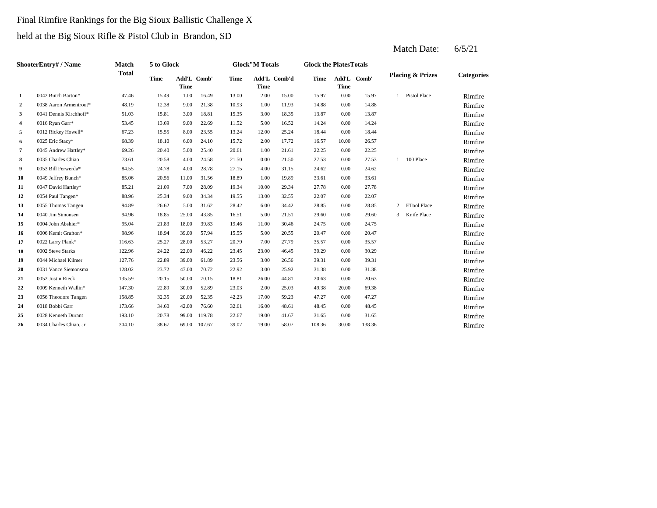# Final Rimfire Rankings for the Big Sioux Ballistic Challenge X held at the Big Sioux Rifle & Pistol Club in Brandon, SD

2 1.00 11.93 14.88 10.93 1.00 11.93 14.88 **3** 3.00 13.87 **4**  $0.016$  Ryan Garr\* **53.45 13.69 13.69 14.52 14.52 5.00 16.52 14.24 5** 0012 Rickey Howell\* 67.23 15.55 8.00 23.55 13.24 12.00 25.24 18.44 **6**  $0025$  Eric Stacy\* **68.39** 18.10 **6.00** 24.10 15.72 2.00 17.72 16.57 **7** 1.00 22.25 **8** 0.005 Charles Chiao **8** 27.53 1 20.58 4.00 24.58 21.50 0.00 21.50 27.53 **9** 4.00 24.62 **10** 0049 Jeffrey Bunch\* 85.06 20.56 11.00 31.56 18.89 1.00 19.89 33.61 **11** 0047 David Hartley\* 85.21 21.09 7.00 28.09 19.34 10.00 29.34 27.78 0.00 27.78 **12** 0054 Paul Tangen\* 88.96 25.34 9.00 34.34 19.55 13.00 32.55 22.07 **13** 6.00 28.85 0055 Thomas Tangen 94.89 26.62 5.00 31.62 28.42 34.42 0.00 28.85 **14** 0040 Jim Simonsen 94.96 **18.85** 25.00 **43.85 16.51** 5.00 **21.51** 29.60 15 0004 John Abshier\* 95.04 21.83 18.00 39.83 19.46 11.00 30.46 24.75 **16** 6.0006 Kemit Grafton\* 98.96 18.94 39.00 57.94 15.55 5.00 20.55 20.47 17 0022 Larry Plank\* 116.63 25.27 28.00 53.27 20.79 7.00 27.79 35.57 **18 24.22 22.00 46.22 23.45 23.00 46.45 30.29 18** 19 0044 Michael Kilmer 127.76 22.89 39.00 61.89 23.56 3.00 26.56 39.31 **20** 0031 Vance Siemonsma **128.02** 23.72 47.00 70.72 22.92 3.00 25.92 31.38 **21** 0052 Justin Rieck 135.59 20.15 50.00 70.15 18.81 26.00 44.81 20.63 22 0009 Kenneth Wallin<sup>\*</sup> 147.30 22.89 30.00 52.89 23.03 2.00 25.03 49.38 23 0056 Theodore Tangen 158.85 32.35 20.00 52.35 42.23 17.00 59.23 47.27 24 0018 Bobbi Garr **173.66** 34.60 42.00 76.60 32.61 16.00 48.61 48.45 **25** 19.00 **26** 19.10 **20.78** 19.00 **119.78** 22.67 19.00 **41.67** 31.65 26 0034 Charles Chiao, Jr. 304.10 38.67 69.00 107.67 39.07 19.00 58.07 108.36 **ShooterEntry# / Name Match Total 5 to Glock Time Glock"M Totals Glock the PlatesTotals Placing & Prizes Categories Time Add'L Comb'd Time Add'L Comb' Time** Add'L Comb' **Time Add'L Time Time 1** 0042 Butch Barton\* 47.46 15.49 1.00 16.49 13.00 2.00 15.00 15.97 0.00 15.97 1 Pistol Place Rimfire 0038 Aaron Armentrout\* 48.19 12.38 9.00 21.38 10.93 1.00 11.93 14.88 0.00 14.88 Rimfire 0041 Dennis Kirchhoff\* 51.03 15.81 3.00 18.81 15.35 3.00 18.35 13.87 0.00 13.87 The Rimfire 0016 Ryan Garr\* 53.45 13.69 9.00 22.69 11.52 5.00 16.52 14.24 0.00 14.24 Rimfire 0012 Rickey Howell\* 67.23 15.55 8.00 23.55 13.24 12.00 25.24 18.44 0.00 18.44 Mimfire 0025 Eric Stacy\* 68.39 18.10 6.00 24.10 15.72 2.00 17.72 16.57 10.00 26.57 Rimfire 0045 Andrew Hartley\* 69.26 20.40 5.00 25.40 20.61 1.00 21.61 22.25 0.00 22.25 Mimfire 0035 Charles Chiao 27.51 20.58 4.00 24.58 21.50 0.00 21.50 27.53 0.00 27.53 1 100 Place Rimfire 0053 Bill Ferwerda\* 84.55 24.78 4.00 28.78 27.15 4.00 31.15 24.62 0.00 24.62 Rimfire 0049 Jeffrey Bunch\* 85.06 20.56 11.00 31.56 18.89 1.00 19.89 33.61 0.00 33.61 11.00 Rimfire 2 ETool Place Rimfire 0054 Paul Tangen\* 88.96 25.34 9.00 34.34 19.55 13.00 32.55 22.07 0.00 22.07 **Rimfire** 3 Knife Place Rimfire 0040 Jim Simonsen 94.96 18.85 25.00 43.85 16.51 21.51 0.00 29.60 Rimfire 0004 John Abshier\* 95.04 21.83 18.00 39.83 19.46 11.00 30.46 24.75 0.00 24.75 Nimfire 0006 Kemit Grafton\* 98.96 18.94 39.00 57.94 15.55 5.00 20.55 20.47 0.00 20.47 **Rimfire** 0022 Larry Plank\* 116.63 25.27 28.00 53.27 20.79 7.00 27.79 35.57 0.00 35.57 **Rimfire** 0002 Steve Starks 122.96 24.22 22.00 46.22 23.45 23.00 46.45 30.29 0.00 30.29 Rimfire 0044 Michael Kilmer 127.76 22.89 39.00 61.89 23.56 3.00 26.56 39.31 0.00 39.31 1000 AMichael Kilmer 127.76 23.89 39.00 61.89 23.56 30.00 26.56 39.31 0031 Vance Siemonsma 128.02 23.72 47.00 70.72 22.92 3.00 25.92 31.38 0.00 31.38 CM Pimfire 0052 Justin Rieck 135.59 20.15 50.00 70.15 18.81 26.00 44.81 20.63 0.00 20.63 Rimfire 0009 Kenneth Wallin\* 147.30 22.89 30.00 52.89 23.03 2.00 25.03 49.38 20.00 69.38 Rimfire 0056 Theodore Tangen 158.85 32.35 20.00 52.35 42.23 17.00 59.23 47.27 0.00 47.27 Rimfire 0018 Bobbi Garr 173.66 34.60 42.00 76.60 32.61 16.00 48.61 48.45 0.00 48.45 Nimfire 0028 Kenneth Durant 193.10 20.78 99.00 119.78 22.67 19.00 41.67 31.65 0.00 31.65 Rimfire 0034 Charles Chiao, Jr. 304.10 38.67 69.00 107.67 39.07 19.00 58.07 108.36 30.00 138.36 Rimfire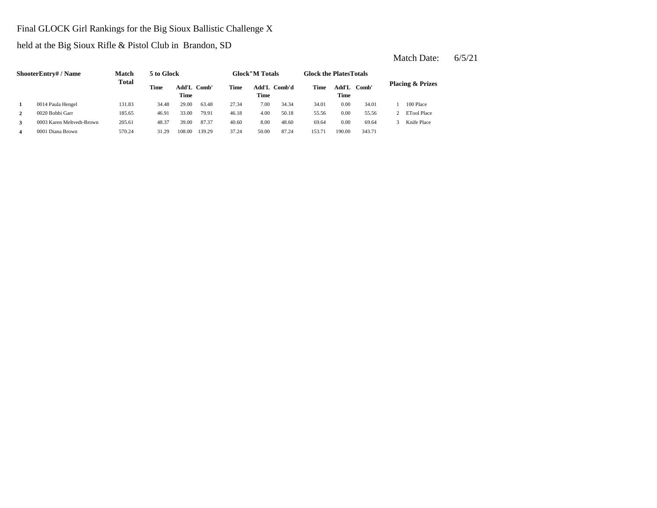#### Final GLOCK Girl Rankings for the Big Sioux Ballistic Challenge X

held at the Big Sioux Rifle & Pistol Club in Brandon, SD

**2** 4.00 55.56 **3** 8.0003 Karen Meltvedt-Brown 205.61 48.37 39.00 87.37 40.60 8.00 48.60 69.64 0.00 69.64 3 Knife Place **4** 0001 Diana Brown 570.24 31.29 108.00 139.29 37.24 50.00 87.24 153.71 190.00 343.71 **ShooterEntry# / Name Match Total 5 to Glock Time Glock"M Totals Glock the PlatesTotals Placing & Prizes Time Add'L Comb'd Time Add'L Comb' Time** Add'L Comb' **Time Add'L Time Time 1** 0014 Paula Hengel 131.83 34.48 29.00 63.48 27.34 7.00 34.34 34.01 0.00 34.01 1 100 Place 0020 Bobbi Garr 185.65 46.91 33.00 79.91 46.18 50.18 0.00 55.56 2 ETool Place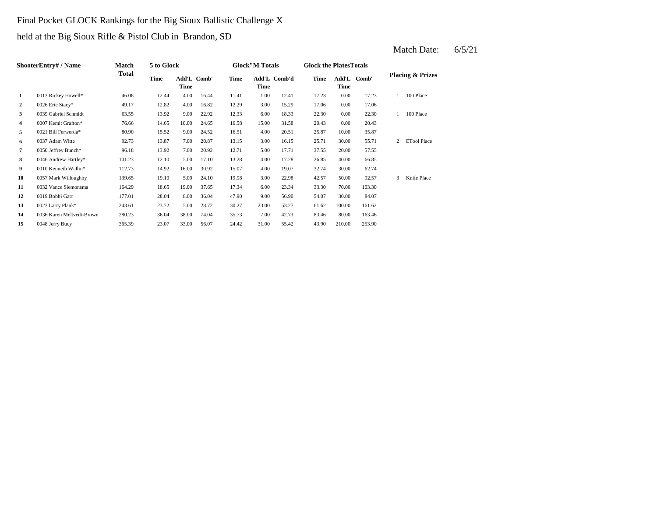## Final Pocket GLOCK Rankings for the Big Sioux Ballistic Challenge X

held at the Big Sioux Rifle & Pistol Club in Brandon, SD

|                | ShooterEntry# / Name      | <b>Match</b> | 5 to Glock |                            |       |             | <b>Glock</b> "M Totals |              | <b>Glock the PlatesTotals</b> |               |        |   |                             |
|----------------|---------------------------|--------------|------------|----------------------------|-------|-------------|------------------------|--------------|-------------------------------|---------------|--------|---|-----------------------------|
|                |                           | Total        | Time       | Add'L Comb'<br><b>Time</b> |       | <b>Time</b> | Time                   | Add'L Comb'd | Time                          | Add'L<br>Time | Comb'  |   | <b>Placing &amp; Prizes</b> |
| 1              | 0013 Rickey Howell*       | 46.08        | 12.44      | 4.00                       | 16.44 | 11.41       | 1.00                   | 12.41        | 17.23                         | 0.00          | 17.23  |   | 100 Place                   |
| $\overline{2}$ | 0026 Eric Stacy*          | 49.17        | 12.82      | 4.00                       | 16.82 | 12.29       | 3.00                   | 15.29        | 17.06                         | 0.00          | 17.06  |   |                             |
| 3              | 0039 Gabriel Schmidt      | 63.55        | 13.92      | 9.00                       | 22.92 | 12.33       | 6.00                   | 18.33        | 22.30                         | 0.00          | 22.30  |   | 100 Place                   |
| 4              | 0007 Kemit Grafton*       | 76.66        | 14.65      | 10.00                      | 24.65 | 16.58       | 15.00                  | 31.58        | 20.43                         | 0.00          | 20.43  |   |                             |
| 5              | 0021 Bill Ferwerda*       | 80.90        | 15.52      | 9.00                       | 24.52 | 16.51       | 4.00                   | 20.51        | 25.87                         | 10.00         | 35.87  |   |                             |
| 6              | 0037 Adam Witte           | 92.73        | 13.87      | 7.00                       | 20.87 | 13.15       | 3.00                   | 16.15        | 25.71                         | 30.00         | 55.71  | 2 | <b>ETool Place</b>          |
| $\overline{7}$ | 0050 Jeffrey Bunch*       | 96.18        | 13.92      | 7.00                       | 20.92 | 12.71       | 5.00                   | 17.71        | 37.55                         | 20.00         | 57.55  |   |                             |
| 8              | 0046 Andrew Hartley*      | 101.23       | 12.10      | 5.00                       | 17.10 | 13.28       | 4.00                   | 17.28        | 26.85                         | 40.00         | 66.85  |   |                             |
| 9              | 0010 Kenneth Wallin*      | 112.73       | 14.92      | 16.00                      | 30.92 | 15.07       | 4.00                   | 19.07        | 32.74                         | 30.00         | 62.74  |   |                             |
| 10             | 0057 Mark Willoughby      | 139.65       | 19.10      | 5.00                       | 24.10 | 19.98       | 3.00                   | 22.98        | 42.57                         | 50.00         | 92.57  | 3 | Knife Place                 |
| 11             | 0032 Vance Siemonsma      | 164.29       | 18.65      | 19.00                      | 37.65 | 17.34       | 6.00                   | 23.34        | 33.30                         | 70.00         | 103.30 |   |                             |
| 12             | 0019 Bobbi Garr           | 177.01       | 28.04      | 8.00                       | 36.04 | 47.90       | 9.00                   | 56.90        | 54.07                         | 30.00         | 84.07  |   |                             |
| 13             | 0023 Larry Plank*         | 243.61       | 23.72      | 5.00                       | 28.72 | 30.27       | 23.00                  | 53.27        | 61.62                         | 100.00        | 161.62 |   |                             |
| 14             | 0036 Karen Meltvedt-Brown | 280.23       | 36.04      | 38.00                      | 74.04 | 35.73       | 7.00                   | 42.73        | 83.46                         | 80.00         | 163.46 |   |                             |
| 15             | 0048 Jerry Bucy           | 365.39       | 23.07      | 33.00                      | 56.07 | 24.42       | 31.00                  | 55.42        | 43.90                         | 210.00        | 253.90 |   |                             |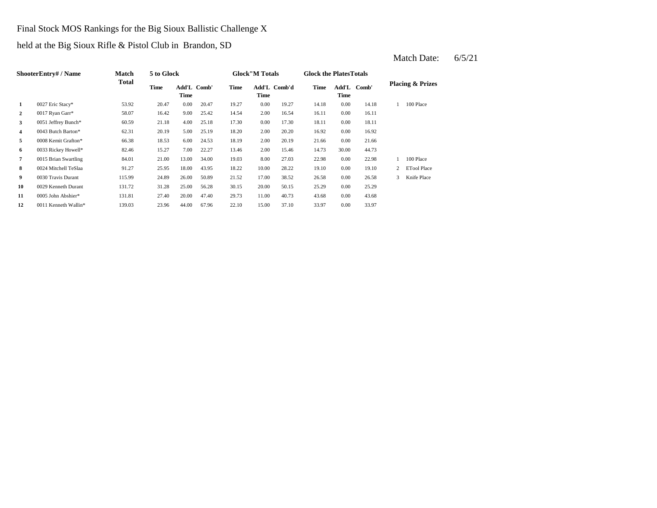Final Stock MOS Rankings for the Big Sioux Ballistic Challenge X

held at the Big Sioux Rifle & Pistol Club in Brandon, SD

|                | ShooterEntry# / Name | <b>Match</b> | 5 to Glock |                     |       |       | <b>Glock</b> "M Totals |              | <b>Glock the Plates Totals</b> |               |       |   |                             |
|----------------|----------------------|--------------|------------|---------------------|-------|-------|------------------------|--------------|--------------------------------|---------------|-------|---|-----------------------------|
|                |                      | Total        | Time       | Add'L Comb'<br>Time |       | Time  | Time                   | Add'L Comb'd | Time                           | Add'L<br>Time | Comb' |   | <b>Placing &amp; Prizes</b> |
| 1              | 0027 Eric Stacy*     | 53.92        | 20.47      | 0.00                | 20.47 | 19.27 | 0.00                   | 19.27        | 14.18                          | 0.00          | 14.18 |   | 100 Place                   |
| $\overline{2}$ | 0017 Ryan Garr*      | 58.07        | 16.42      | 9.00                | 25.42 | 14.54 | 2.00                   | 16.54        | 16.11                          | 0.00          | 16.11 |   |                             |
| 3              | 0051 Jeffrey Bunch*  | 60.59        | 21.18      | 4.00                | 25.18 | 17.30 | 0.00                   | 17.30        | 18.11                          | 0.00          | 18.11 |   |                             |
| 4              | 0043 Butch Barton*   | 62.31        | 20.19      | 5.00                | 25.19 | 18.20 | 2.00                   | 20.20        | 16.92                          | 0.00          | 16.92 |   |                             |
| 5              | 0008 Kemit Grafton*  | 66.38        | 18.53      | 6.00                | 24.53 | 18.19 | 2.00                   | 20.19        | 21.66                          | 0.00          | 21.66 |   |                             |
| 6              | 0033 Rickey Howell*  | 82.46        | 15.27      | 7.00                | 22.27 | 13.46 | 2.00                   | 15.46        | 14.73                          | 30.00         | 44.73 |   |                             |
| $\overline{7}$ | 0015 Brian Swartling | 84.01        | 21.00      | 13.00               | 34.00 | 19.03 | 8.00                   | 27.03        | 22.98                          | 0.00          | 22.98 |   | 100 Place                   |
| 8              | 0024 Mitchell TeSlaa | 91.27        | 25.95      | 18.00               | 43.95 | 18.22 | 10.00                  | 28.22        | 19.10                          | 0.00          | 19.10 |   | <b>ETool Place</b>          |
| 9              | 0030 Travis Durant   | 115.99       | 24.89      | 26.00               | 50.89 | 21.52 | 17.00                  | 38.52        | 26.58                          | 0.00          | 26.58 | 3 | Knife Place                 |
| 10             | 0029 Kenneth Durant  | 131.72       | 31.28      | 25.00               | 56.28 | 30.15 | 20.00                  | 50.15        | 25.29                          | 0.00          | 25.29 |   |                             |
| 11             | 0005 John Abshier*   | 131.81       | 27.40      | 20.00               | 47.40 | 29.73 | 11.00                  | 40.73        | 43.68                          | 0.00          | 43.68 |   |                             |
| 12             | 0011 Kenneth Wallin* | 139.03       | 23.96      | 44.00               | 67.96 | 22.10 | 15.00                  | 37.10        | 33.97                          | 0.00          | 33.97 |   |                             |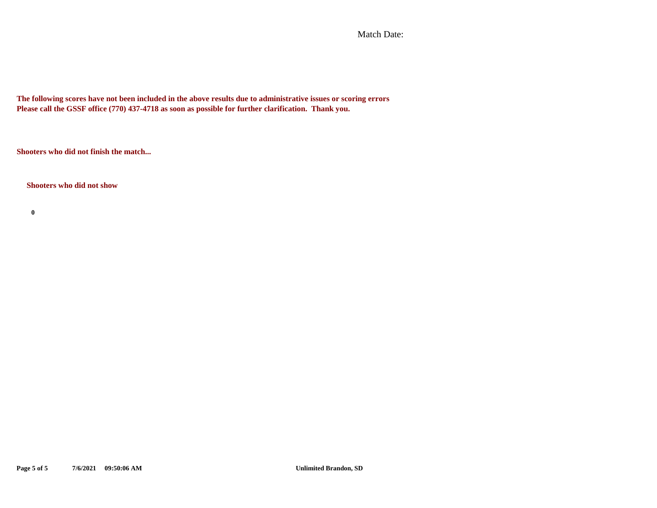Match Date:

**The following scores have not been included in the above results due to administrative issues or scoring errors Please call the GSSF office (770) 437-4718 as soon as possible for further clarification. Thank you.**

**Shooters who did not finish the match...**

**Shooters who did not show**

**0**

**Page 5 of 5 7/6/2021 09:50:06 AM Unlimited Brandon, SD**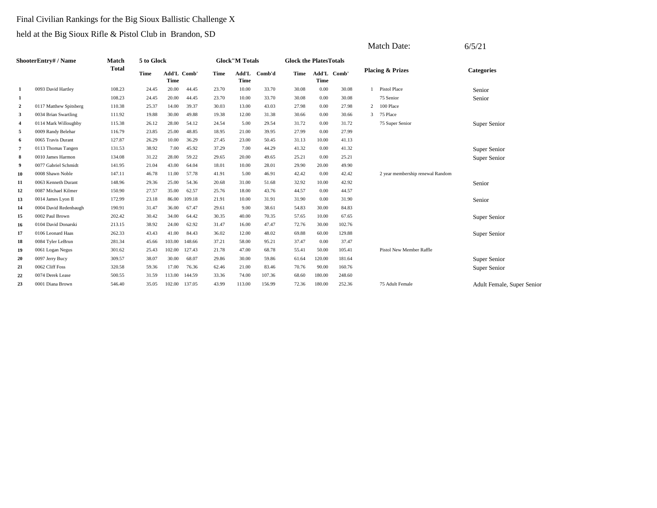### Final Civilian Rankings for the Big Sioux Ballistic Challenge X

|                  |                           |              |            |        |             |       |                        |        |                               |        |             |   | Match Date:                      | 6/5/21                     |
|------------------|---------------------------|--------------|------------|--------|-------------|-------|------------------------|--------|-------------------------------|--------|-------------|---|----------------------------------|----------------------------|
|                  | <b>ShooterEntry#/Name</b> | Match        | 5 to Glock |        |             |       | <b>Glock</b> "M Totals |        | <b>Glock the PlatesTotals</b> |        |             |   |                                  |                            |
|                  |                           | <b>Total</b> | Time       | Time   | Add'L Comb' | Time  | Add'L<br>Time          | Comb'd | Time                          | Time   | Add'L Comb' |   | <b>Placing &amp; Prizes</b>      | <b>Categories</b>          |
| 1                | 0093 David Hartley        | 108.23       | 24.45      | 20.00  | 44.45       | 23.70 | 10.00                  | 33.70  | 30.08                         | 0.00   | 30.08       |   | <b>Pistol Place</b>              | Senior                     |
| 1                |                           | 108.23       | 24.45      | 20.00  | 44.45       | 23.70 | 10.00                  | 33.70  | 30.08                         | 0.00   | 30.08       |   | 75 Senior                        | Senior                     |
| $\boldsymbol{2}$ | 0117 Matthew Spitsberg    | 110.38       | 25.37      | 14.00  | 39.37       | 30.03 | 13.00                  | 43.03  | 27.98                         | 0.00   | 27.98       | 2 | 100 Place                        |                            |
| 3                | 0034 Brian Swartling      | 111.92       | 19.88      | 30.00  | 49.88       | 19.38 | 12.00                  | 31.38  | 30.66                         | 0.00   | 30.66       |   | 3 75 Place                       |                            |
| 4                | 0114 Mark Willoughby      | 115.38       | 26.12      | 28.00  | 54.12       | 24.54 | 5.00                   | 29.54  | 31.72                         | 0.00   | 31.72       |   | 75 Super Senior                  | Super Senior               |
| 5                | 0009 Randy Belehar        | 116.79       | 23.85      | 25.00  | 48.85       | 18.95 | 21.00                  | 39.95  | 27.99                         | 0.00   | 27.99       |   |                                  |                            |
| 6                | 0065 Travis Durant        | 127.87       | 26.29      | 10.00  | 36.29       | 27.45 | 23.00                  | 50.45  | 31.13                         | 10.00  | 41.13       |   |                                  |                            |
| $\overline{7}$   | 0113 Thomas Tangen        | 131.53       | 38.92      | 7.00   | 45.92       | 37.29 | 7.00                   | 44.29  | 41.32                         | 0.00   | 41.32       |   |                                  | Super Senior               |
| 8                | 0010 James Harmon         | 134.08       | 31.22      | 28.00  | 59.22       | 29.65 | 20.00                  | 49.65  | 25.21                         | 0.00   | 25.21       |   |                                  | Super Senior               |
| 9                | 0077 Gabriel Schmidt      | 141.95       | 21.04      | 43.00  | 64.04       | 18.01 | 10.00                  | 28.01  | 29.90                         | 20.00  | 49.90       |   |                                  |                            |
| 10               | 0008 Shawn Noble          | 147.11       | 46.78      | 11.00  | 57.78       | 41.91 | 5.00                   | 46.91  | 42.42                         | 0.00   | 42.42       |   | 2 year membership renewal Random |                            |
| 11               | 0063 Kenneth Durant       | 148.96       | 29.36      | 25.00  | 54.36       | 20.68 | 31.00                  | 51.68  | 32.92                         | 10.00  | 42.92       |   |                                  | Senior                     |
| 12               | 0087 Michael Kilmer       | 150.90       | 27.57      | 35.00  | 62.57       | 25.76 | 18.00                  | 43.76  | 44.57                         | 0.00   | 44.57       |   |                                  |                            |
| 13               | 0014 James Lyon II        | 172.99       | 23.18      | 86.00  | 109.18      | 21.91 | 10.00                  | 31.91  | 31.90                         | 0.00   | 31.90       |   |                                  | Senior                     |
| 14               | 0004 David Redenbaugh     | 190.91       | 31.47      | 36.00  | 67.47       | 29.61 | 9.00                   | 38.61  | 54.83                         | 30.00  | 84.83       |   |                                  |                            |
| 15               | 0002 Paul Brown           | 202.42       | 30.42      | 34.00  | 64.42       | 30.35 | 40.00                  | 70.35  | 57.65                         | 10.00  | 67.65       |   |                                  | Super Senior               |
| 16               | 0104 David Donarski       | 213.15       | 38.92      | 24.00  | 62.92       | 31.47 | 16.00                  | 47.47  | 72.76                         | 30.00  | 102.76      |   |                                  |                            |
| 17               | 0106 Leonard Haas         | 262.33       | 43.43      | 41.00  | 84.43       | 36.02 | 12.00                  | 48.02  | 69.88                         | 60.00  | 129.88      |   |                                  | Super Senior               |
| 18               | 0084 Tyler LeBrun         | 281.34       | 45.66      | 103.00 | 148.66      | 37.21 | 58.00                  | 95.21  | 37.47                         | 0.00   | 37.47       |   |                                  |                            |
| 19               | 0061 Logan Negus          | 301.62       | 25.43      | 102.00 | 127.43      | 21.78 | 47.00                  | 68.78  | 55.41                         | 50.00  | 105.41      |   | Pistol New Member Raffle         |                            |
| 20               | 0097 Jerry Bucy           | 309.57       | 38.07      | 30.00  | 68.07       | 29.86 | 30.00                  | 59.86  | 61.64                         | 120.00 | 181.64      |   |                                  | Super Senior               |
| 21               | 0062 Cliff Foss           | 320.58       | 59.36      | 17.00  | 76.36       | 62.46 | 21.00                  | 83.46  | 70.76                         | 90.00  | 160.76      |   |                                  | Super Senior               |
| 22               | 0074 Derek Lease          | 500.55       | 31.59      | 113.00 | 144.59      | 33.36 | 74.00                  | 107.36 | 68.60                         | 180.00 | 248.60      |   |                                  |                            |
| 23               | 0001 Diana Brown          | 546.40       | 35.05      | 102.00 | 137.05      | 43.99 | 113.00                 | 156.99 | 72.36                         | 180.00 | 252.36      |   | 75 Adult Female                  | Adult Female, Super Senior |
|                  |                           |              |            |        |             |       |                        |        |                               |        |             |   |                                  |                            |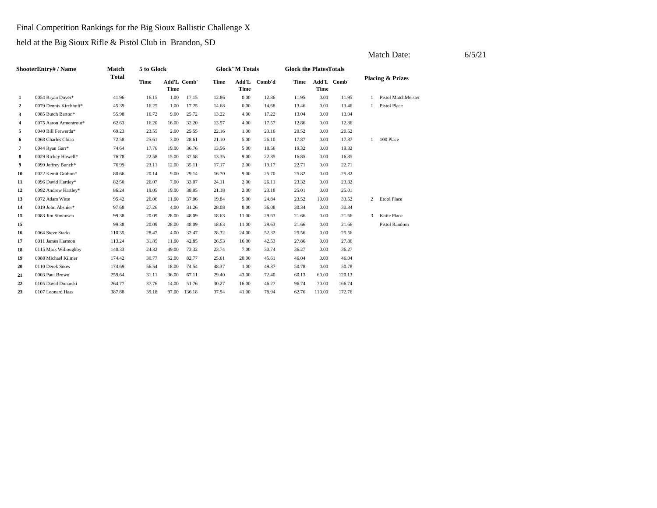Final Competition Rankings for the Big Sioux Ballistic Challenge X

|                |                        |              |             |                            |        |       |                        |        |                               |             |             |   | Match Date:                 | 6/5/21 |
|----------------|------------------------|--------------|-------------|----------------------------|--------|-------|------------------------|--------|-------------------------------|-------------|-------------|---|-----------------------------|--------|
|                | ShooterEntry# / Name   | <b>Match</b> | 5 to Glock  |                            |        |       | <b>Glock</b> "M Totals |        | <b>Glock the PlatesTotals</b> |             |             |   |                             |        |
|                |                        | <b>Total</b> | <b>Time</b> | Add'L Comb'<br><b>Time</b> |        | Time  | Add'L<br>Time          | Comb'd | <b>Time</b>                   | <b>Time</b> | Add'L Comb' |   | <b>Placing &amp; Prizes</b> |        |
| 1              | 0054 Bryan Dover*      | 41.96        | 16.15       | 1.00                       | 17.15  | 12.86 | 0.00                   | 12.86  | 11.95                         | 0.00        | 11.95       | 1 | Pistol MatchMeister         |        |
| 2              | 0079 Dennis Kirchhoff* | 45.39        | 16.25       | 1.00                       | 17.25  | 14.68 | 0.00                   | 14.68  | 13.46                         | 0.00        | 13.46       |   | Pistol Place                |        |
| 3              | 0085 Butch Barton*     | 55.98        | 16.72       | 9.00                       | 25.72  | 13.22 | 4.00                   | 17.22  | 13.04                         | 0.00        | 13.04       |   |                             |        |
| $\overline{4}$ | 0075 Aaron Armentrout* | 62.63        | 16.20       | 16.00                      | 32.20  | 13.57 | 4.00                   | 17.57  | 12.86                         | 0.00        | 12.86       |   |                             |        |
| 5              | 0040 Bill Ferwerda*    | 69.23        | 23.55       | 2.00                       | 25.55  | 22.16 | 1.00                   | 23.16  | 20.52                         | 0.00        | 20.52       |   |                             |        |
| 6              | 0068 Charles Chiao     | 72.58        | 25.61       | 3.00                       | 28.61  | 21.10 | 5.00                   | 26.10  | 17.87                         | 0.00        | 17.87       |   | 100 Place                   |        |
| 7              | 0044 Ryan Garr*        | 74.64        | 17.76       | 19.00                      | 36.76  | 13.56 | 5.00                   | 18.56  | 19.32                         | 0.00        | 19.32       |   |                             |        |
| 8              | 0029 Rickey Howell*    | 76.78        | 22.58       | 15.00                      | 37.58  | 13.35 | 9.00                   | 22.35  | 16.85                         | 0.00        | 16.85       |   |                             |        |
| 9              | 0099 Jeffrey Bunch*    | 76.99        | 23.11       | 12.00                      | 35.11  | 17.17 | 2.00                   | 19.17  | 22.71                         | 0.00        | 22.71       |   |                             |        |
| 10             | 0022 Kemit Grafton*    | 80.66        | 20.14       | 9.00                       | 29.14  | 16.70 | 9.00                   | 25.70  | 25.82                         | 0.00        | 25.82       |   |                             |        |
| 11             | 0096 David Hartley*    | 82.50        | 26.07       | 7.00                       | 33.07  | 24.11 | 2.00                   | 26.11  | 23.32                         | 0.00        | 23.32       |   |                             |        |
| 12             | 0092 Andrew Hartley*   | 86.24        | 19.05       | 19.00                      | 38.05  | 21.18 | 2.00                   | 23.18  | 25.01                         | 0.00        | 25.01       |   |                             |        |
| 13             | 0072 Adam Witte        | 95.42        | 26.06       | 11.00                      | 37.06  | 19.84 | 5.00                   | 24.84  | 23.52                         | 10.00       | 33.52       |   | 2 Etool Place               |        |
| 14             | 0019 John Abshier*     | 97.68        | 27.26       | 4.00                       | 31.26  | 28.08 | 8.00                   | 36.08  | 30.34                         | 0.00        | 30.34       |   |                             |        |
| 15             | 0083 Jim Simonsen      | 99.38        | 20.09       | 28.00                      | 48.09  | 18.63 | 11.00                  | 29.63  | 21.66                         | 0.00        | 21.66       | 3 | Knife Place                 |        |
| 15             |                        | 99.38        | 20.09       | 28.00                      | 48.09  | 18.63 | 11.00                  | 29.63  | 21.66                         | 0.00        | 21.66       |   | Pistol Random               |        |
| 16             | 0064 Steve Starks      | 110.35       | 28.47       | 4.00                       | 32.47  | 28.32 | 24.00                  | 52.32  | 25.56                         | 0.00        | 25.56       |   |                             |        |
| 17             | 0011 James Harmon      | 113.24       | 31.85       | 11.00                      | 42.85  | 26.53 | 16.00                  | 42.53  | 27.86                         | 0.00        | 27.86       |   |                             |        |
| 18             | 0115 Mark Willoughby   | 140.33       | 24.32       | 49.00                      | 73.32  | 23.74 | 7.00                   | 30.74  | 36.27                         | 0.00        | 36.27       |   |                             |        |
| 19             | 0088 Michael Kilmer    | 174.42       | 30.77       | 52.00                      | 82.77  | 25.61 | 20.00                  | 45.61  | 46.04                         | 0.00        | 46.04       |   |                             |        |
| 20             | 0110 Derek Snow        | 174.69       | 56.54       | 18.00                      | 74.54  | 48.37 | 1.00                   | 49.37  | 50.78                         | 0.00        | 50.78       |   |                             |        |
| 21             | 0003 Paul Brown        | 259.64       | 31.11       | 36.00                      | 67.11  | 29.40 | 43.00                  | 72.40  | 60.13                         | 60.00       | 120.13      |   |                             |        |
| 22             | 0105 David Donarski    | 264.77       | 37.76       | 14.00                      | 51.76  | 30.27 | 16.00                  | 46.27  | 96.74                         | 70.00       | 166.74      |   |                             |        |
| 23             | 0107 Leonard Haas      | 387.88       | 39.18       | 97.00                      | 136.18 | 37.94 | 41.00                  | 78.94  | 62.76                         | 110.00      | 172.76      |   |                             |        |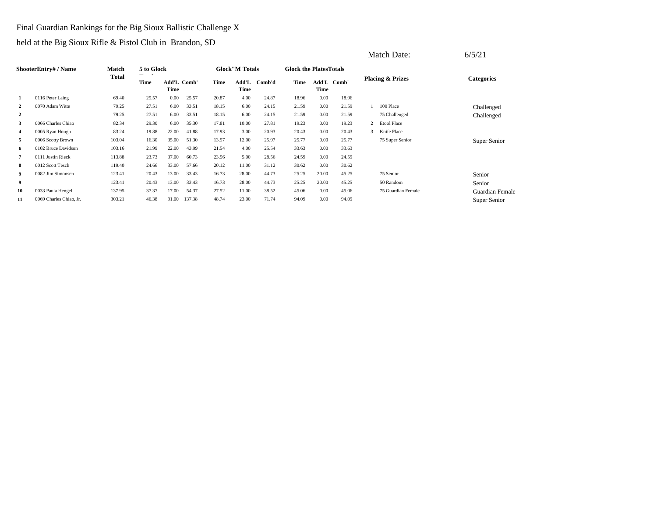### Final Guardian Rankings for the Big Sioux Ballistic Challenge X

|                  |                         |        |            |                     |        |       |                        |        |                               |       |             |                | Match Date:                 | 6/5/21            |
|------------------|-------------------------|--------|------------|---------------------|--------|-------|------------------------|--------|-------------------------------|-------|-------------|----------------|-----------------------------|-------------------|
|                  | ShooterEntry# / Name    | Match  | 5 to Glock |                     |        |       | <b>Glock</b> "M Totals |        | <b>Glock the PlatesTotals</b> |       |             |                |                             |                   |
|                  |                         | Total  | Time       | Add'L Comb'<br>Time |        | Time  | Add'L<br>Time          | Comb'd | Time                          | Time  | Add'L Comb' |                | <b>Placing &amp; Prizes</b> | <b>Categories</b> |
| 1                | 0116 Peter Laing        | 69.40  | 25.57      | 0.00                | 25.57  | 20.87 | 4.00                   | 24.87  | 18.96                         | 0.00  | 18.96       |                |                             |                   |
| $\boldsymbol{2}$ | 0070 Adam Witte         | 79.25  | 27.51      | 6.00                | 33.51  | 18.15 | 6.00                   | 24.15  | 21.59                         | 0.00  | 21.59       |                | 100 Place                   | Challenged        |
| $\boldsymbol{2}$ |                         | 79.25  | 27.51      | 6.00                | 33.51  | 18.15 | 6.00                   | 24.15  | 21.59                         | 0.00  | 21.59       |                | 75 Challenged               | Challenged        |
| 3                | 0066 Charles Chiao      | 82.34  | 29.30      | 6.00                | 35.30  | 17.81 | 10.00                  | 27.81  | 19.23                         | 0.00  | 19.23       | $\overline{2}$ | <b>Etool Place</b>          |                   |
| 4                | 0005 Ryan Hough         | 83.24  | 19.88      | 22.00               | 41.88  | 17.93 | 3.00                   | 20.93  | 20.43                         | 0.00  | 20.43       | 3              | Knife Place                 |                   |
| 5                | 0006 Scotty Brown       | 103.04 | 16.30      | 35.00               | 51.30  | 13.97 | 12.00                  | 25.97  | 25.77                         | 0.00  | 25.77       |                | 75 Super Senior             | Super Senior      |
| 6                | 0102 Bruce Davidson     | 103.16 | 21.99      | 22.00               | 43.99  | 21.54 | 4.00                   | 25.54  | 33.63                         | 0.00  | 33.63       |                |                             |                   |
| 7                | 0111 Justin Rieck       | 113.88 | 23.73      | 37.00               | 60.73  | 23.56 | 5.00                   | 28.56  | 24.59                         | 0.00  | 24.59       |                |                             |                   |
| 8                | 0012 Scott Tesch        | 119.40 | 24.66      | 33.00               | 57.66  | 20.12 | 11.00                  | 31.12  | 30.62                         | 0.00  | 30.62       |                |                             |                   |
| 9                | 0082 Jim Simonsen       | 123.41 | 20.43      | 13.00               | 33.43  | 16.73 | 28.00                  | 44.73  | 25.25                         | 20.00 | 45.25       |                | 75 Senior                   | Senior            |
| 9                |                         | 123.41 | 20.43      | 13.00               | 33.43  | 16.73 | 28.00                  | 44.73  | 25.25                         | 20.00 | 45.25       |                | 50 Random                   | Senior            |
| 10               | 0033 Paula Hengel       | 137.95 | 37.37      | 17.00               | 54.37  | 27.52 | 11.00                  | 38.52  | 45.06                         | 0.00  | 45.06       |                | 75 Guardian Female          | Guardian Female   |
| 11               | 0069 Charles Chiao, Jr. | 303.21 | 46.38      | 91.00               | 137.38 | 48.74 | 23.00                  | 71.74  | 94.09                         | 0.00  | 94.09       |                |                             | Super Senior      |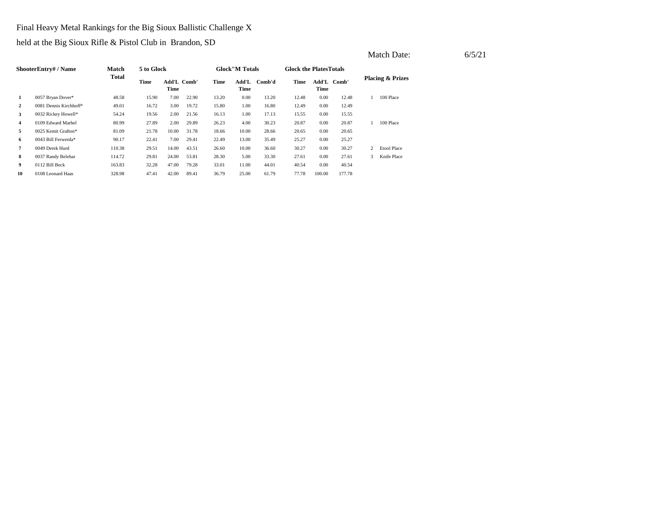Final Heavy Metal Rankings for the Big Sioux Ballistic Challenge X

|                |                        |        |            |                     |       |       |                        |        |                               |        |             |   | Match Date:                 | 6/5/21 |
|----------------|------------------------|--------|------------|---------------------|-------|-------|------------------------|--------|-------------------------------|--------|-------------|---|-----------------------------|--------|
|                | ShooterEntry# / Name   | Match  | 5 to Glock |                     |       |       | <b>Glock</b> "M Totals |        | <b>Glock the PlatesTotals</b> |        |             |   |                             |        |
|                |                        | Total  | Time       | Add'L Comb'<br>Time |       | Time  | Add'L<br>Time          | Comb'd | Time                          | Time   | Add'L Comb' |   | <b>Placing &amp; Prizes</b> |        |
| 1              | 0057 Bryan Dover*      | 48.58  | 15.90      | 7.00                | 22.90 | 13.20 | 0.00                   | 13.20  | 12.48                         | 0.00   | 12.48       |   | 100 Place                   |        |
| $\overline{2}$ | 0081 Dennis Kirchhoff* | 49.01  | 16.72      | 3.00                | 19.72 | 15.80 | 1.00                   | 16.80  | 12.49                         | 0.00   | 12.49       |   |                             |        |
| $\mathbf{3}$   | 0032 Rickey Howell*    | 54.24  | 19.56      | 2.00                | 21.56 | 16.13 | 1.00                   | 17.13  | 15.55                         | 0.00   | 15.55       |   |                             |        |
| $\overline{4}$ | 0109 Edward Marhel     | 80.99  | 27.89      | 2.00                | 29.89 | 26.23 | 4.00                   | 30.23  | 20.87                         | 0.00   | 20.87       |   | 100 Place                   |        |
| 5              | 0025 Kemit Grafton*    | 81.09  | 21.78      | 10.00               | 31.78 | 18.66 | 10.00                  | 28.66  | 20.65                         | 0.00   | 20.65       |   |                             |        |
| 6              | 0043 Bill Ferwerda*    | 90.17  | 22.41      | 7.00                | 29.41 | 22.49 | 13.00                  | 35.49  | 25.27                         | 0.00   | 25.27       |   |                             |        |
| $\overline{7}$ | 0049 Derek Hurd        | 110.38 | 29.51      | 14.00               | 43.51 | 26.60 | 10.00                  | 36.60  | 30.27                         | 0.00   | 30.27       |   | 2 Etool Place               |        |
| 8              | 0037 Randy Belehar     | 114.72 | 29.81      | 24.00               | 53.81 | 28.30 | 5.00                   | 33.30  | 27.61                         | 0.00   | 27.61       | 3 | Knife Place                 |        |
| 9              | 0112 Bill Beck         | 163.83 | 32.28      | 47.00               | 79.28 | 33.01 | 11.00                  | 44.01  | 40.54                         | 0.00   | 40.54       |   |                             |        |
| 10             | 0108 Leonard Haas      | 328.98 | 47.41      | 42.00               | 89.41 | 36.79 | 25.00                  | 61.79  | 77.78                         | 100.00 | 177.78      |   |                             |        |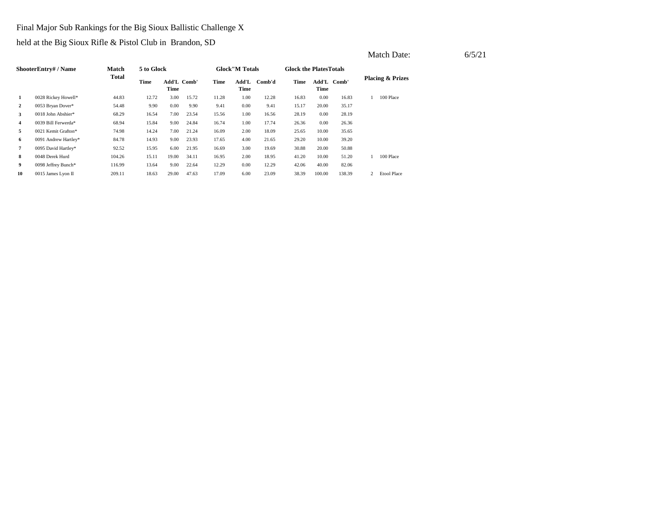### Final Major Sub Rankings for the Big Sioux Ballistic Challenge X

|                |                      |              |            |                     |       |       |                        |        |                                |          |             |                | Match Date:                 | 6/5/21 |
|----------------|----------------------|--------------|------------|---------------------|-------|-------|------------------------|--------|--------------------------------|----------|-------------|----------------|-----------------------------|--------|
|                | ShooterEntry# / Name | Match        | 5 to Glock |                     |       |       | <b>Glock</b> "M Totals |        | <b>Glock the Plates Totals</b> |          |             |                |                             |        |
|                |                      | <b>Total</b> | Time       | Add'L Comb'<br>Time |       | Time  | Add'L<br>Time          | Comb'd | Time                           | Time     | Add'L Comb' |                | <b>Placing &amp; Prizes</b> |        |
| 1              | 0028 Rickey Howell*  | 44.83        | 12.72      | 3.00                | 15.72 | 11.28 | 1.00                   | 12.28  | 16.83                          | $0.00\,$ | 16.83       |                | 100 Place                   |        |
| $\overline{2}$ | 0053 Bryan Dover*    | 54.48        | 9.90       | 0.00                | 9.90  | 9.41  | $0.00\,$               | 9.41   | 15.17                          | 20.00    | 35.17       |                |                             |        |
| 3              | 0018 John Abshier*   | 68.29        | 16.54      | 7.00                | 23.54 | 15.56 | 1.00                   | 16.56  | 28.19                          | $0.00\,$ | 28.19       |                |                             |        |
| $\overline{4}$ | 0039 Bill Ferwerda*  | 68.94        | 15.84      | 9.00                | 24.84 | 16.74 | 1.00                   | 17.74  | 26.36                          | 0.00     | 26.36       |                |                             |        |
| 5              | 0021 Kemit Grafton*  | 74.98        | 14.24      | 7.00                | 21.24 | 16.09 | 2.00                   | 18.09  | 25.65                          | 10.00    | 35.65       |                |                             |        |
| 6              | 0091 Andrew Hartley* | 84.78        | 14.93      | 9.00                | 23.93 | 17.65 | 4.00                   | 21.65  | 29.20                          | 10.00    | 39.20       |                |                             |        |
| $\overline{7}$ | 0095 David Hartley*  | 92.52        | 15.95      | 6.00                | 21.95 | 16.69 | 3.00                   | 19.69  | 30.88                          | 20.00    | 50.88       |                |                             |        |
| 8              | 0048 Derek Hurd      | 104.26       | 15.11      | 19.00               | 34.11 | 16.95 | 2.00                   | 18.95  | 41.20                          | 10.00    | 51.20       |                | 100 Place                   |        |
| 9              | 0098 Jeffrey Bunch*  | 116.99       | 13.64      | 9.00                | 22.64 | 12.29 | $0.00\,$               | 12.29  | 42.06                          | 40.00    | 82.06       |                |                             |        |
| 10             | 0015 James Lyon II   | 209.11       | 18.63      | 29.00               | 47.63 | 17.09 | 6.00                   | 23.09  | 38.39                          | 100.00   | 138.39      | $\overline{2}$ | <b>Etool Place</b>          |        |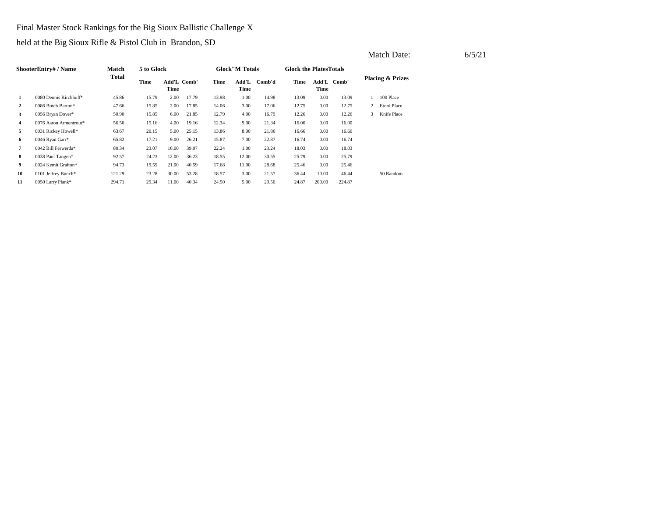Final Master Stock Rankings for the Big Sioux Ballistic Challenge X

held at the Big Sioux Rifle & Pistol Club in Brandon, SD

|                | ShooterEntry# / Name   | Match  | 5 to Glock |                     |       |       | <b>Glock</b> "M Totals |        | <b>Glock the PlatesTotals</b> |        |             |                |                             |
|----------------|------------------------|--------|------------|---------------------|-------|-------|------------------------|--------|-------------------------------|--------|-------------|----------------|-----------------------------|
|                |                        | Total  | Time       | Add'L Comb'<br>Time |       | Time  | Add'L<br>Time          | Comb'd | Time                          | Time   | Add'L Comb' |                | <b>Placing &amp; Prizes</b> |
| 1              | 0080 Dennis Kirchhoff* | 45.86  | 15.79      | 2.00                | 17.79 | 13.98 | 1.00                   | 14.98  | 13.09                         | 0.00   | 13.09       |                | 100 Place                   |
| $\mathbf{2}$   | 0086 Butch Barton*     | 47.66  | 15.85      | 2.00                | 17.85 | 14.06 | 3.00                   | 17.06  | 12.75                         | 0.00   | 12.75       | $\overline{2}$ | <b>Etool Place</b>          |
| 3              | 0056 Bryan Dover*      | 50.90  | 15.85      | 6.00                | 21.85 | 12.79 | 4.00                   | 16.79  | 12.26                         | 0.00   | 12.26       | 3              | Knife Place                 |
| 4              | 0076 Aaron Armentrout* | 56.50  | 15.16      | 4.00                | 19.16 | 12.34 | 9.00                   | 21.34  | 16.00                         | 0.00   | 16.00       |                |                             |
| 5              | 0031 Rickey Howell*    | 63.67  | 20.15      | 5.00                | 25.15 | 13.86 | 8.00                   | 21.86  | 16.66                         | 0.00   | 16.66       |                |                             |
| 6              | 0046 Ryan Garr*        | 65.82  | 17.21      | 9.00                | 26.21 | 15.87 | 7.00                   | 22.87  | 16.74                         | 0.00   | 16.74       |                |                             |
| $\overline{7}$ | 0042 Bill Ferwerda*    | 80.34  | 23.07      | 16.00               | 39.07 | 22.24 | 1.00                   | 23.24  | 18.03                         | 0.00   | 18.03       |                |                             |
| 8              | 0038 Paul Tangen*      | 92.57  | 24.23      | 12.00               | 36.23 | 18.55 | 12.00                  | 30.55  | 25.79                         | 0.00   | 25.79       |                |                             |
| 9              | 0024 Kemit Grafton*    | 94.73  | 19.59      | 21.00               | 40.59 | 17.68 | 11.00                  | 28.68  | 25.46                         | 0.00   | 25.46       |                |                             |
| 10             | 0101 Jeffrey Bunch*    | 121.29 | 23.28      | 30.00               | 53.28 | 18.57 | 3.00                   | 21.57  | 36.44                         | 10.00  | 46.44       |                | 50 Random                   |
| 11             | 0050 Larry Plank*      | 294.71 | 29.34      | 11.00               | 40.34 | 24.50 | 5.00                   | 29.50  | 24.87                         | 200.00 | 224.87      |                |                             |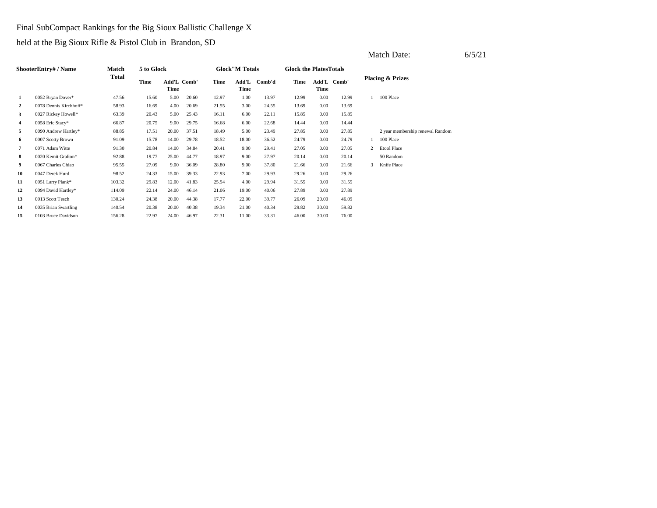### Final SubCompact Rankings for the Big Sioux Ballistic Challenge X

|                |                        |              |            |                     |       |       |                        |        |                               |                     |       |                | Match Date:                      | 6/5/21 |
|----------------|------------------------|--------------|------------|---------------------|-------|-------|------------------------|--------|-------------------------------|---------------------|-------|----------------|----------------------------------|--------|
|                | ShooterEntry#/Name     | Match        | 5 to Glock |                     |       |       | <b>Glock</b> "M Totals |        | <b>Glock the PlatesTotals</b> |                     |       |                |                                  |        |
|                |                        | <b>Total</b> | Time       | Add'L Comb'<br>Time |       | Time  | Add'L<br>Time          | Comb'd | Time                          | Add'L Comb'<br>Time |       |                | <b>Placing &amp; Prizes</b>      |        |
| 1              | 0052 Bryan Dover*      | 47.56        | 15.60      | 5.00                | 20.60 | 12.97 | 1.00                   | 13.97  | 12.99                         | 0.00                | 12.99 |                | 100 Place                        |        |
| 2              | 0078 Dennis Kirchhoff* | 58.93        | 16.69      | 4.00                | 20.69 | 21.55 | 3.00                   | 24.55  | 13.69                         | 0.00                | 13.69 |                |                                  |        |
| 3              | 0027 Rickey Howell*    | 63.39        | 20.43      | 5.00                | 25.43 | 16.11 | 6.00                   | 22.11  | 15.85                         | 0.00                | 15.85 |                |                                  |        |
| 4              | 0058 Eric Stacy*       | 66.87        | 20.75      | 9.00                | 29.75 | 16.68 | 6.00                   | 22.68  | 14.44                         | 0.00                | 14.44 |                |                                  |        |
| 5              | 0090 Andrew Hartley*   | 88.85        | 17.51      | 20.00               | 37.51 | 18.49 | 5.00                   | 23.49  | 27.85                         | 0.00                | 27.85 |                | 2 year membership renewal Random |        |
| 6              | 0007 Scotty Brown      | 91.09        | 15.78      | 14.00               | 29.78 | 18.52 | 18.00                  | 36.52  | 24.79                         | 0.00                | 24.79 |                | 100 Place                        |        |
| $\overline{7}$ | 0071 Adam Witte        | 91.30        | 20.84      | 14.00               | 34.84 | 20.41 | 9.00                   | 29.41  | 27.05                         | 0.00                | 27.05 | $\overline{2}$ | <b>Etool Place</b>               |        |
| 8              | 0020 Kemit Grafton*    | 92.88        | 19.77      | 25.00               | 44.77 | 18.97 | 9.00                   | 27.97  | 20.14                         | 0.00                | 20.14 |                | 50 Random                        |        |
| 9              | 0067 Charles Chiao     | 95.55        | 27.09      | 9.00                | 36.09 | 28.80 | 9.00                   | 37.80  | 21.66                         | 0.00                | 21.66 | 3              | Knife Place                      |        |
| 10             | 0047 Derek Hurd        | 98.52        | 24.33      | 15.00               | 39.33 | 22.93 | 7.00                   | 29.93  | 29.26                         | 0.00                | 29.26 |                |                                  |        |
| 11             | 0051 Larry Plank*      | 103.32       | 29.83      | 12.00               | 41.83 | 25.94 | 4.00                   | 29.94  | 31.55                         | 0.00                | 31.55 |                |                                  |        |
| 12             | 0094 David Hartley*    | 114.09       | 22.14      | 24.00               | 46.14 | 21.06 | 19.00                  | 40.06  | 27.89                         | 0.00                | 27.89 |                |                                  |        |
| 13             | 0013 Scott Tesch       | 130.24       | 24.38      | 20.00               | 44.38 | 17.77 | 22.00                  | 39.77  | 26.09                         | 20.00               | 46.09 |                |                                  |        |
| 14             | 0035 Brian Swartling   | 140.54       | 20.38      | 20.00               | 40.38 | 19.34 | 21.00                  | 40.34  | 29.82                         | 30.00               | 59.82 |                |                                  |        |
| 15             | 0103 Bruce Davidson    | 156.28       | 22.97      | 24.00               | 46.97 | 22.31 | 11.00                  | 33.31  | 46.00                         | 30.00               | 76.00 |                |                                  |        |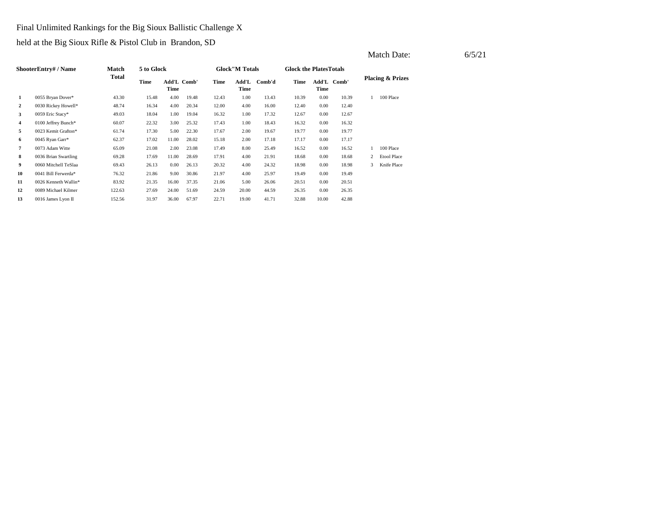### Final Unlimited Rankings for the Big Sioux Ballistic Challenge X

held at the Big Sioux Rifle & Pistol Club in Brandon, SD

|              | ShooterEntry# / Name | <b>Match</b> | 5 to Glock |       |             |       | <b>Glock</b> "M Totals |        | <b>Glock the Plates Totals</b> |                     |       |                |                             |
|--------------|----------------------|--------------|------------|-------|-------------|-------|------------------------|--------|--------------------------------|---------------------|-------|----------------|-----------------------------|
|              |                      | Total        | Time       | Time  | Add'L Comb' | Time  | Add'L<br>Time          | Comb'd | Time                           | Add'L Comb'<br>Time |       |                | <b>Placing &amp; Prizes</b> |
| 1            | 0055 Bryan Dover*    | 43.30        | 15.48      | 4.00  | 19.48       | 12.43 | 1.00                   | 13.43  | 10.39                          | 0.00                | 10.39 |                | 100 Place                   |
| $\mathbf{2}$ | 0030 Rickey Howell*  | 48.74        | 16.34      | 4.00  | 20.34       | 12.00 | 4.00                   | 16.00  | 12.40                          | 0.00                | 12.40 |                |                             |
| 3            | 0059 Eric Stacy*     | 49.03        | 18.04      | 1.00  | 19.04       | 16.32 | 1.00                   | 17.32  | 12.67                          | 0.00                | 12.67 |                |                             |
| 4            | 0100 Jeffrey Bunch*  | 60.07        | 22.32      | 3.00  | 25.32       | 17.43 | 1.00                   | 18.43  | 16.32                          | 0.00                | 16.32 |                |                             |
| 5            | 0023 Kemit Grafton*  | 61.74        | 17.30      | 5.00  | 22.30       | 17.67 | 2.00                   | 19.67  | 19.77                          | 0.00                | 19.77 |                |                             |
| 6            | 0045 Ryan Garr*      | 62.37        | 17.02      | 11.00 | 28.02       | 15.18 | 2.00                   | 17.18  | 17.17                          | 0.00                | 17.17 |                |                             |
| 7            | 0073 Adam Witte      | 65.09        | 21.08      | 2.00  | 23.08       | 17.49 | 8.00                   | 25.49  | 16.52                          | 0.00                | 16.52 |                | 100 Place                   |
| 8            | 0036 Brian Swartling | 69.28        | 17.69      | 11.00 | 28.69       | 17.91 | 4.00                   | 21.91  | 18.68                          | 0.00                | 18.68 | $\overline{2}$ | <b>Etool Place</b>          |
| 9            | 0060 Mitchell TeSlaa | 69.43        | 26.13      | 0.00  | 26.13       | 20.32 | 4.00                   | 24.32  | 18.98                          | 0.00                | 18.98 | 3              | Knife Place                 |
| 10           | 0041 Bill Ferwerda*  | 76.32        | 21.86      | 9.00  | 30.86       | 21.97 | 4.00                   | 25.97  | 19.49                          | 0.00                | 19.49 |                |                             |
| 11           | 0026 Kenneth Wallin* | 83.92        | 21.35      | 16.00 | 37.35       | 21.06 | 5.00                   | 26.06  | 20.51                          | 0.00                | 20.51 |                |                             |
| 12           | 0089 Michael Kilmer  | 122.63       | 27.69      | 24.00 | 51.69       | 24.59 | 20.00                  | 44.59  | 26.35                          | 0.00                | 26.35 |                |                             |
| 13           | 0016 James Lyon II   | 152.56       | 31.97      | 36.00 | 67.97       | 22.71 | 19.00                  | 41.71  | 32.88                          | 10.00               | 42.88 |                |                             |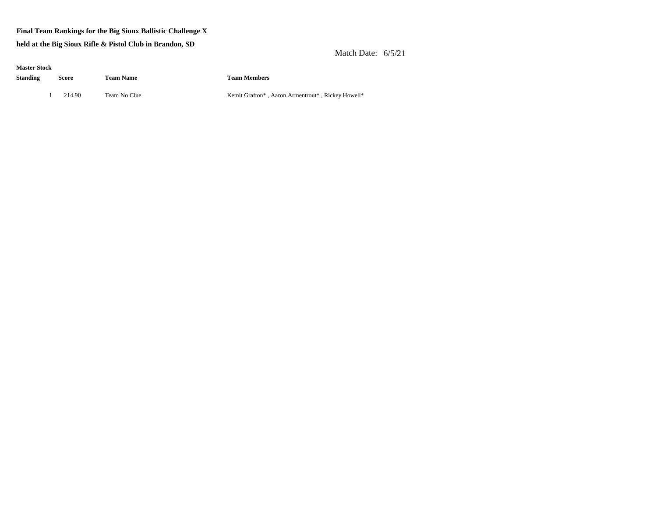#### **Final Team Rankings for the Big Sioux Ballistic Challenge X**

**held at the Big Sioux Rifle & Pistol Club in Brandon, SD**

Match Date: 6/5/21

| <b>Master Stock</b> |   |        |                  |                     |
|---------------------|---|--------|------------------|---------------------|
| Standing            |   | Score  | <b>Team Name</b> | <b>Team Members</b> |
|                     | 1 | 214.90 | Team No Clue     | Kemit Grafton*,     |

Kemit Grafton\*, Aaron Armentrout\*, Rickey Howell\*